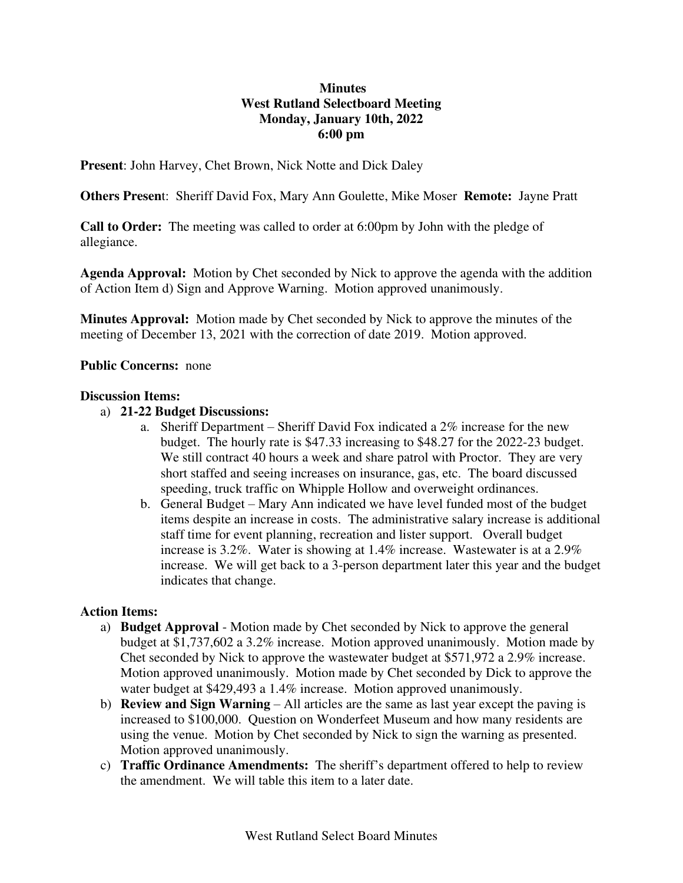# **Minutes West Rutland Selectboard Meeting Monday, January 10th, 2022 6:00 pm**

**Present**: John Harvey, Chet Brown, Nick Notte and Dick Daley

**Others Presen**t: Sheriff David Fox, Mary Ann Goulette, Mike Moser **Remote:** Jayne Pratt

**Call to Order:** The meeting was called to order at 6:00pm by John with the pledge of allegiance.

**Agenda Approval:** Motion by Chet seconded by Nick to approve the agenda with the addition of Action Item d) Sign and Approve Warning. Motion approved unanimously.

**Minutes Approval:** Motion made by Chet seconded by Nick to approve the minutes of the meeting of December 13, 2021 with the correction of date 2019. Motion approved.

### **Public Concerns:** none

#### **Discussion Items:**

### a) **21-22 Budget Discussions:**

- a. Sheriff Department Sheriff David Fox indicated a 2% increase for the new budget. The hourly rate is \$47.33 increasing to \$48.27 for the 2022-23 budget. We still contract 40 hours a week and share patrol with Proctor. They are very short staffed and seeing increases on insurance, gas, etc. The board discussed speeding, truck traffic on Whipple Hollow and overweight ordinances.
- b. General Budget Mary Ann indicated we have level funded most of the budget items despite an increase in costs. The administrative salary increase is additional staff time for event planning, recreation and lister support. Overall budget increase is 3.2%. Water is showing at 1.4% increase. Wastewater is at a 2.9% increase. We will get back to a 3-person department later this year and the budget indicates that change.

### **Action Items:**

- a) **Budget Approval** Motion made by Chet seconded by Nick to approve the general budget at \$1,737,602 a 3.2% increase. Motion approved unanimously. Motion made by Chet seconded by Nick to approve the wastewater budget at \$571,972 a 2.9% increase. Motion approved unanimously. Motion made by Chet seconded by Dick to approve the water budget at \$429,493 a 1.4% increase. Motion approved unanimously.
- b) **Review and Sign Warning** All articles are the same as last year except the paving is increased to \$100,000. Question on Wonderfeet Museum and how many residents are using the venue. Motion by Chet seconded by Nick to sign the warning as presented. Motion approved unanimously.
- c) **Traffic Ordinance Amendments:** The sheriff's department offered to help to review the amendment. We will table this item to a later date.